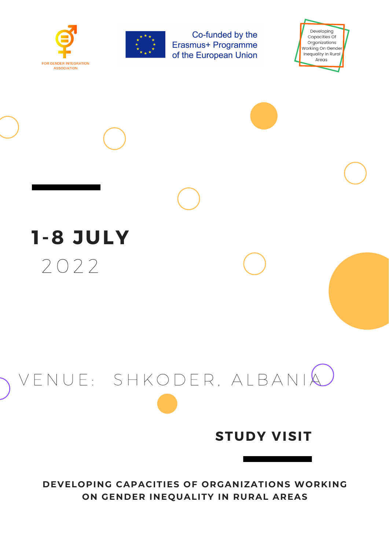



Co-funded by the **Erasmus+ Programme** of the European Union

Developing Capacities Of Organizations Working On Gender Inequality In Rural Areas



# V E N U E : S H K O D E R , A L B A N I A

#### **STUDY VISIT**

#### **DEVELOPING CAPACITIES OF ORGANIZATIONS WORKING ON GENDER INEQUALITY IN RURAL AREAS**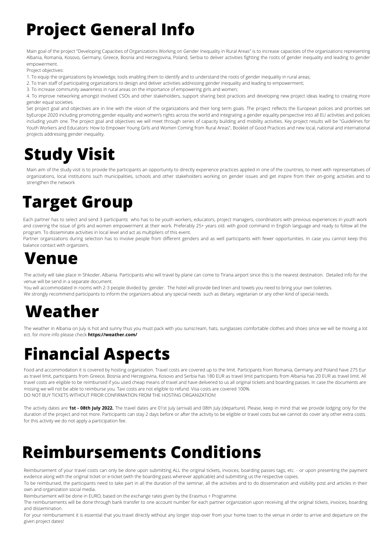## **Project General Info**

Main goal of the project "Developing Capacities of Organizations Working on Gender Inequality in Rural Areas" is to increase capacities of the organizations representing Albania, Romania, Kosovo, Germany, Greece, Bosnia and Herzegovina, Poland, Serbia to deliver activities fighting the roots of gender inequality and leading to gender empowerment.

Project objectives:

- 1. To equip the organizations by knowledge, tools enabling them to identify and to understand the roots of gender inequality in rural areas;
- 2. To train staff of participating organizations to design and deliver activities addressing gender inequality and leading to empowerment;
- 3. To increase community awareness in rural areas on the importance of empowering girls and women;

Set project goal and objectives are in line with the vision of the organizations and their long term goals. The project reflects the European polices and priorities set byEurope 2020 including promoting gender equality and women's rights across the world and integrating a gender equality perspective into all EU activities and policies including youth one. The project goal and objectives we will meet through series of capacity building and mobility activities. Key project results will be "Guidelines for Youth Workers and Educators: How to Empower Young Girls and Women Coming from Rural Areas", Booklet of Good Practices and new local, national and international projects addressing gender inequality.

4. To improve networking amongst involved CSOs and other stakeholders, support sharing best practices and developing new project ideas leading to creating more gender equal societies.

#### **Study Visit**

The weather in Albania on July is hot and sunny thus you must pack with you sunscream, hats, sunglasses comfortable clothes and shoes since we will be moving a lot ect. for more info please check **https://weather.com/**

Main aim of the study visit is to provide the participants an opportunity to directly experience practices applied in one of the countries, to meet with representatives of organizations, local institutions such municipalities, schools and other stakeholders working on gender issues and get inspire from their on-going activities and to strengthen the network

#### **Target Group**

Each partner has to select and send 3 participants who has to be youth workers, educators, project managers, coordinators with previous experiences in youth work and covering the issue of girls and women empowerment at their work. Preferably 25+ years old. with good command in English language and ready to follow all the program. To disseminate activities in local level and act as multipliers of this event.

Partner organizations during selection has to involve people from different genders and as well participants with fewer opportunities. In case you cannot keep this balance contact with organizers.

#### **Venue**

The activity will take place in Shkoder, Albania. Participants who will travel by plane can come to Tirana airport since this is the nearest destination. Detailed info for the venue will be send in a separate document.

You will accommodated in rooms with 2-3 people divided by gender. The hotel will provide bed linen and towels you need to bring your own toiletries.

We strongly recommend participants to inform the organizers about any special needs such as dietary, vegetarian or any other kind of special needs.

#### **Weather**

Food and accommodation it is covered by hosting organization. Travel costs are covered up to the limit. Participants from Romania, Germany and Poland have 275 Eur as travel limit, participants from Greece, Bosnia and Herzegovina, Kosovo and Serbia has 180 EUR as travel limit participants from Albania has 20 EUR as travel limit. All travel costs are eligible to be reimbursed if you used cheap means of travel and have delivered to us all original tickets and boarding passes. In case the documents are missing we will not be able to reimburse you. Taxi costs are not eligible to refund. Visa costs are covered 100%. DO NOT BUY TICKETS WITHOUT PRIOR CONFIRMATION FROM THE HOSTING ORGANIZATION!

The activity dates are **1st - 08th July 2022.** The travel dates are 01st July (arrival) and 08th July (departure). Please, keep in mind that we provide lodging only for the duration of the project and not more. Participants can stay 2 days before or after the activity to be eligible or travel costs but we cannot do cover any other extra costs. for this activity we do not apply a participation fee.

#### **Reimbursements Conditions**

Reimbursement of your travel costs can only be done upon submitting ALL the original tickets, invoices, boarding passes tags, etc. - or upon presenting the payment evidence along with the original ticket or e-ticket (with the boarding pass wherever applicable) and submitting us the respective copies.

To be reimbursed, the participants need to take part in all the duration of the seminar, all the activities and to do dissemination and visibility post and articles in their own and organization social media.

Reimbursement will be done in EURO, based on the exchange rates given by the Erasmus + Programme.

The reimbursements will be done through bank transfer to one account number for each partner organization upon receiving all the original tickets, invoices, boarding and dissemination.

For your reimbursement it is essential that you travel directly without any longer stop-over from your home town to the venue in order to arrive and departure on the given project dates!

#### **Financial Aspects**